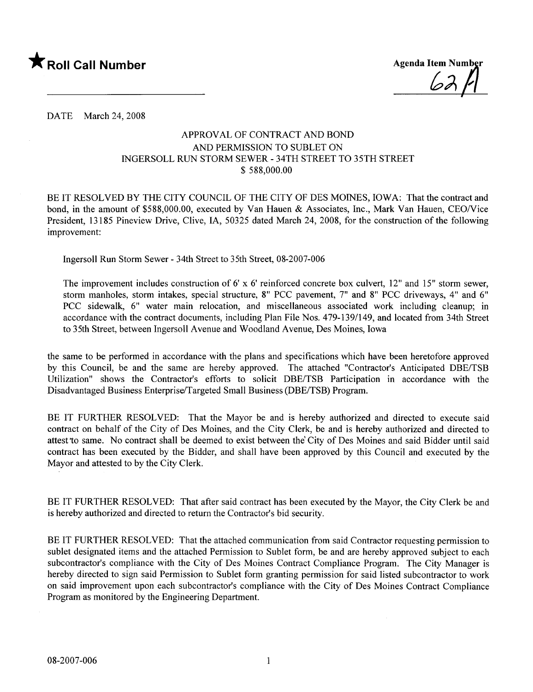

0),

DATE March 24, 2008

## APPROV AL OF CONTRACT AND BOND AND PERMISSION TO SUBLET ON INGERSOLL RUN STORM SEWER - 34TH STREET TO 35TH STREET \$ 588,000.00

BE IT RESOLVED BY THE CITY COUNCIL OF THE CITY OF DES MOINES, IOWA: That the contract and bond, in the amount of \$588,000.00, executed by Van Hauen & Associates, Inc., Mark Van Hauen, CEO/Vice President, 13185 Pineview Drive, Clive, lA, 50325 dated March 24, 2008, for the construction of the following improvement:

Ingersoll Run Storm Sewer - 34th Street to 35th Street, 08-2007-006

The improvement includes construction of 6' x 6' reinforced concrete box culvert, 12" and 15" storm sewer, storm manholes, storm intakes, special structure, 8" PCC pavement, 7" and 8" PCC driveways, 4" and 6" PCC sidewalk, 6" water main relocation, and miscellaneous associated work including cleanup; in accordance with the contract documents, including Plan File Nos. 479-139/149, and located from 34th Street to 35th Street, between Ingersoll Avenue and Woodland Avenue, Des Moines, Iowa

the same to be performed in accordance with the plans and specifications which have been heretofore approved by this Council, be and the same are hereby approved. The attached "Contractor's Anticipated DBE/TSB Utilization" shows the Contractor's efforts to solicit DBE/TSB Participation in accordance with the Disadvantaged Business Enterprise/Targeted Small Business (DBE/TSB) Program.

BE IT FURTHER RESOLVED: That the Mayor be and is hereby authorized and directed to execute said contract on behalf of the City of Des Moines, and the City Clerk, be and is hereby authorized and directed to attest 'to same. No contract shall be deemed to exist between the' City of Des Moines and said Bidder until said contract has been executed by the Bidder, and shall have been approved by this Council and executed by the Mayor and attested to by the City Clerk.

BE IT FURTHER RESOLVED: That after said contract has been executed by the Mayor, the City Clerk be and is hereby authorized and directed to return the Contractor's bid security.

BE IT FURTHER RESOLVED: That the attached communication from said Contractor requesting permission to sublet designated items and the attached Permission to Sublet form, be and are hereby approved subject to each subcontractor's compliance with the City of Des Moines Contract Compliance Program. The City Manager is hereby directed to sign said Permission to Sublet form granting permission for said listed subcontractor to work on said improvement upon each subcontractor's compliance with the City of Des Moines Contract Compliance Program as monitored by the Engineering Department.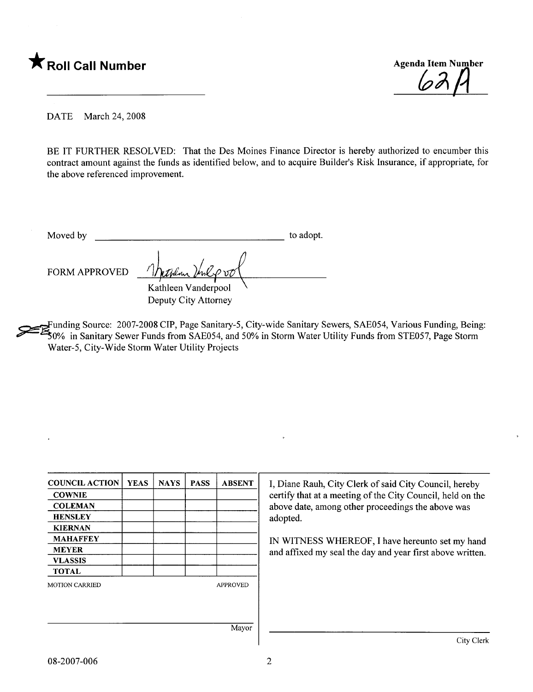



DATE March 24, 2008

BE IT FURTHER RESOLVED: That the Des Moines Finance Director is hereby authorized to encumber this contract amount against the funds as identified below, and to acquire Builder's Risk Insurance, if appropriate, for the above referenced improvement.

Moved by to adopt.

FORM APPROVED

Kathleen Vanderpool Deputy City Attorney

~unding Source: 2007-2008 CIP, Page Sanitary-5, City-wide Sanitary Sewers, SAE054, Various Funding, Being: ~~O% in Sanitary Sewer Funds from SAE054, and 50% in Storm Water Utility Funds from STE057, Page Storm Water-5, City-Wide Storm Water Utility Projects

| <b>COUNCIL ACTION</b> | <b>YEAS</b> | <b>NAYS</b> | <b>PASS</b> | <b>ABSENT</b>   |
|-----------------------|-------------|-------------|-------------|-----------------|
| <b>COWNIE</b>         |             |             |             |                 |
| <b>COLEMAN</b>        |             |             |             |                 |
| <b>HENSLEY</b>        |             |             |             |                 |
| <b>KIERNAN</b>        |             |             |             |                 |
| <b>MAHAFFEY</b>       |             |             |             |                 |
| <b>MEYER</b>          |             |             |             |                 |
| <b>VLASSIS</b>        |             |             |             |                 |
| <b>TOTAL</b>          |             |             |             |                 |
| <b>MOTION CARRIED</b> |             |             |             | <b>APPROVED</b> |
|                       |             |             |             |                 |
|                       |             |             |             |                 |
|                       |             |             |             |                 |
|                       |             |             |             | Mayor           |

I, Diane Rauh, City Clerk of said City Council, hereby certify that at a meeting of the City Council, held on the above date, among other proceedings the above was adopted.

IN WITNESS WHEREOF, I have hereunto set my hand and affxed my seal the day and year first above written.